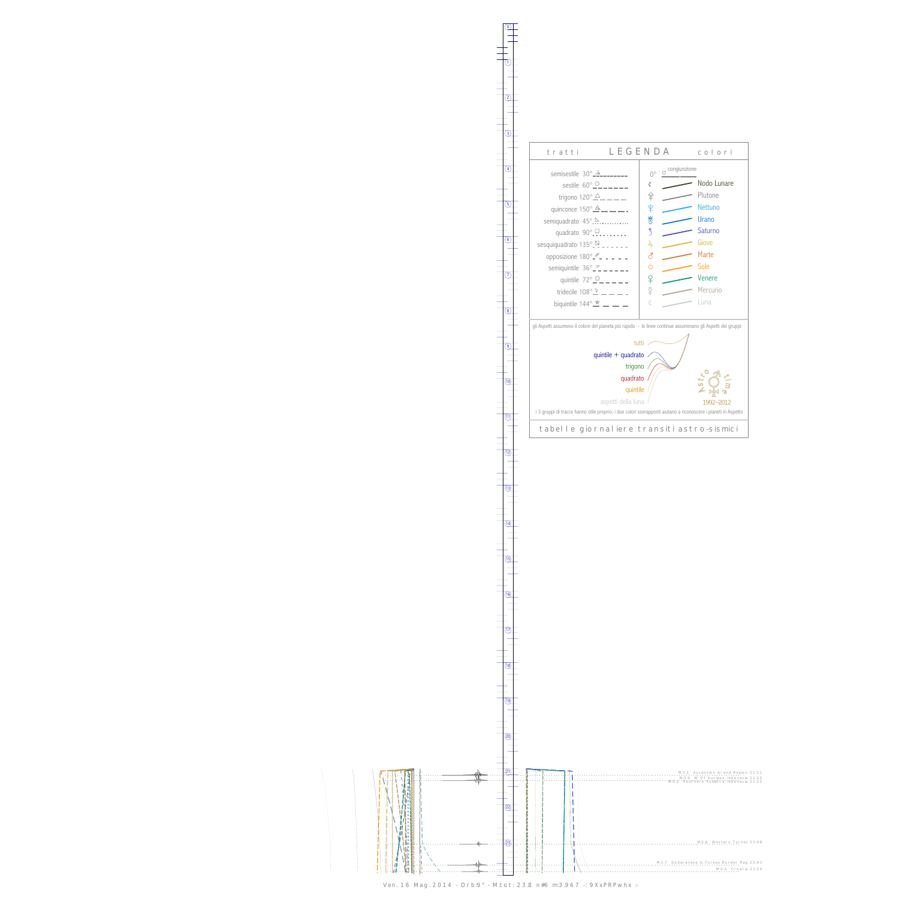0

1



13



Ven. 16 Mag. 2014 - Orb:9° - M.tot: 23.8 n#6 m:3.967 -: 9XxPRPwhx :-